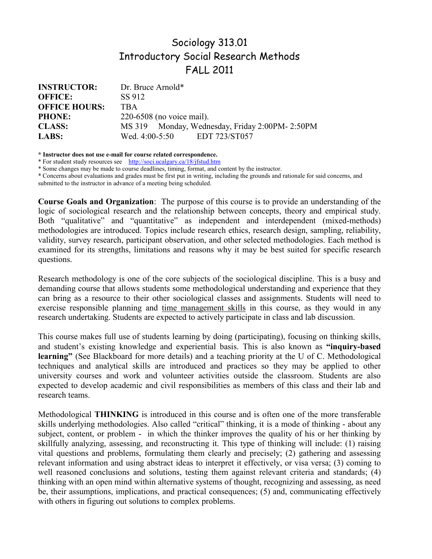# Sociology 313.01 Introductory Social Research Methods FALL 2011

| <b>INSTRUCTOR:</b>   | Dr. Bruce Arnold*                              |
|----------------------|------------------------------------------------|
| <b>OFFICE:</b>       | SS 912                                         |
| <b>OFFICE HOURS:</b> | <b>TBA</b>                                     |
| <b>PHONE:</b>        | $220-6508$ (no voice mail).                    |
| <b>CLASS:</b>        | MS 319 Monday, Wednesday, Friday 2:00PM-2:50PM |
| <b>LABS:</b>         | Wed. 4:00-5:50 EDT 723/ST057                   |

**\* Instructor does not use e-mail for course related correspondence.**

\* For student study resources see http://soci.ucalgary.ca/18/jfstud.htm

\* Some changes may be made to course deadlines, timing, format, and content by the instructor.

\* Concerns about evaluations and grades must be first put in writing, including the grounds and rationale for said concerns, and submitted to the instructor in advance of a meeting being scheduled.

**Course Goals and Organization**: The purpose of this course is to provide an understanding of the logic of sociological research and the relationship between concepts, theory and empirical study. Both "qualitative" and "quantitative" as independent and interdependent (mixed-methods) methodologies are introduced. Topics include research ethics, research design, sampling, reliability, validity, survey research, participant observation, and other selected methodologies. Each method is examined for its strengths, limitations and reasons why it may be best suited for specific research questions.

Research methodology is one of the core subjects of the sociological discipline. This is a busy and demanding course that allows students some methodological understanding and experience that they can bring as a resource to their other sociological classes and assignments. Students will need to exercise responsible planning and time management skills in this course, as they would in any research undertaking. Students are expected to actively participate in class and lab discussion.

This course makes full use of students learning by doing (participating), focusing on thinking skills, and student's existing knowledge and experiential basis. This is also known as **"inquiry-based learning"** (See Blackboard for more details) and a teaching priority at the U of C. Methodological techniques and analytical skills are introduced and practices so they may be applied to other university courses and work and volunteer activities outside the classroom. Students are also expected to develop academic and civil responsibilities as members of this class and their lab and research teams.

Methodological **THINKING** is introduced in this course and is often one of the more transferable skills underlying methodologies. Also called "critical" thinking, it is a mode of thinking - about any subject, content, or problem - in which the thinker improves the quality of his or her thinking by skillfully analyzing, assessing, and reconstructing it. This type of thinking will include: (1) raising vital questions and problems, formulating them clearly and precisely; (2) gathering and assessing relevant information and using abstract ideas to interpret it effectively, or visa versa; (3) coming to well reasoned conclusions and solutions, testing them against relevant criteria and standards; (4) thinking with an open mind within alternative systems of thought, recognizing and assessing, as need be, their assumptions, implications, and practical consequences; (5) and, communicating effectively with others in figuring out solutions to complex problems.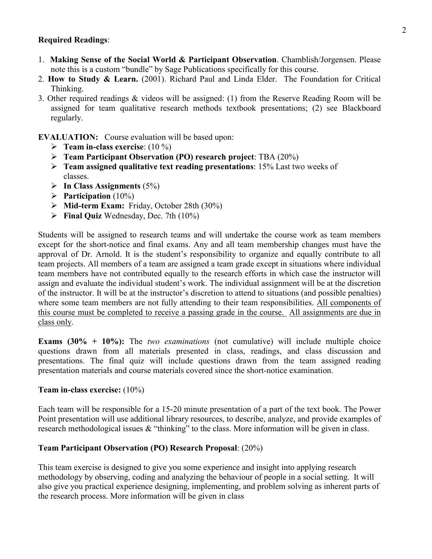## **Required Readings**:

- 1. **Making Sense of the Social World & Participant Observation**. Chamblish/Jorgensen. Please note this is a custom "bundle" by Sage Publications specifically for this course.
- 2. **How to Study & Learn.** (2001). Richard Paul and Linda Elder. The Foundation for Critical Thinking.
- 3. Other required readings & videos will be assigned: (1) from the Reserve Reading Room will be assigned for team qualitative research methods textbook presentations; (2) see Blackboard regularly.

**EVALUATION:** Course evaluation will be based upon:

- **Team in-class exercise**: (10 %)
- **Team Participant Observation (PO) research project**: TBA (20%)
- **Team assigned qualitative text reading presentations**: 15% Last two weeks of classes.
- **In Class Assignments** (5%)
- **Participation** (10%)
- **Mid-term Exam:** Friday, October 28th (30%)
- **Final Quiz** Wednesday, Dec. 7th (10%)

Students will be assigned to research teams and will undertake the course work as team members except for the short-notice and final exams. Any and all team membership changes must have the approval of Dr. Arnold. It is the student's responsibility to organize and equally contribute to all team projects. All members of a team are assigned a team grade except in situations where individual team members have not contributed equally to the research efforts in which case the instructor will assign and evaluate the individual student's work. The individual assignment will be at the discretion of the instructor. It will be at the instructor's discretion to attend to situations (and possible penalties) where some team members are not fully attending to their team responsibilities. All components of this course must be completed to receive a passing grade in the course. All assignments are due in class only.

**Exams (30% + 10%):** The *two examinations* (not cumulative) will include multiple choice questions drawn from all materials presented in class, readings, and class discussion and presentations. The final quiz will include questions drawn from the team assigned reading presentation materials and course materials covered since the short-notice examination.

#### **Team in-class exercise:** (10%)

Each team will be responsible for a 15-20 minute presentation of a part of the text book. The Power Point presentation will use additional library resources, to describe, analyze, and provide examples of research methodological issues & "thinking" to the class. More information will be given in class.

#### **Team Participant Observation (PO) Research Proposal**: (20%)

This team exercise is designed to give you some experience and insight into applying research methodology by observing, coding and analyzing the behaviour of people in a social setting. It will also give you practical experience designing, implementing, and problem solving as inherent parts of the research process. More information will be given in class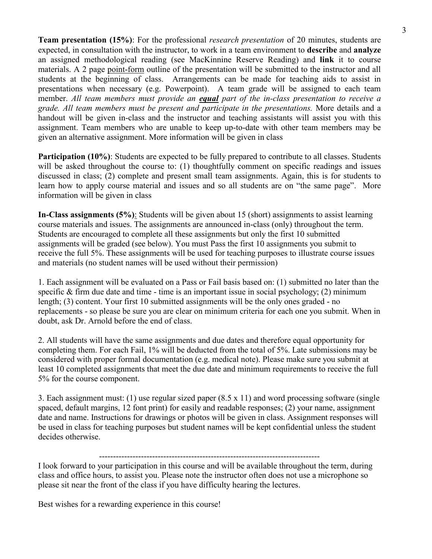**Team presentation (15%)**: For the professional *research presentation* of 20 minutes, students are expected, in consultation with the instructor, to work in a team environment to **describe** and **analyze** an assigned methodological reading (see MacKinnine Reserve Reading) and **link** it to course materials. A 2 page point-form outline of the presentation will be submitted to the instructor and all students at the beginning of class. Arrangements can be made for teaching aids to assist in presentations when necessary (e.g. Powerpoint). A team grade will be assigned to each team member. *All team members must provide an equal part of the in-class presentation to receive a grade. All team members must be present and participate in the presentations.* More details and a handout will be given in-class and the instructor and teaching assistants will assist you with this assignment. Team members who are unable to keep up-to-date with other team members may be given an alternative assignment. More information will be given in class

**Participation (10%):** Students are expected to be fully prepared to contribute to all classes. Students will be asked throughout the course to: (1) thoughtfully comment on specific readings and issues discussed in class; (2) complete and present small team assignments. Again, this is for students to learn how to apply course material and issues and so all students are on "the same page". More information will be given in class

**In-Class assignments (5%)**: Students will be given about 15 (short) assignments to assist learning course materials and issues. The assignments are announced in-class (only) throughout the term. Students are encouraged to complete all these assignments but only the first 10 submitted assignments will be graded (see below). You must Pass the first 10 assignments you submit to receive the full 5%. These assignments will be used for teaching purposes to illustrate course issues and materials (no student names will be used without their permission)

1. Each assignment will be evaluated on a Pass or Fail basis based on: (1) submitted no later than the specific & firm due date and time - time is an important issue in social psychology; (2) minimum length; (3) content. Your first 10 submitted assignments will be the only ones graded - no replacements - so please be sure you are clear on minimum criteria for each one you submit. When in doubt, ask Dr. Arnold before the end of class.

2. All students will have the same assignments and due dates and therefore equal opportunity for completing them. For each Fail, 1% will be deducted from the total of 5%. Late submissions may be considered with proper formal documentation (e.g. medical note). Please make sure you submit at least 10 completed assignments that meet the due date and minimum requirements to receive the full 5% for the course component.

3. Each assignment must: (1) use regular sized paper (8.5 x 11) and word processing software (single spaced, default margins, 12 font print) for easily and readable responses; (2) your name, assignment date and name. Instructions for drawings or photos will be given in class. Assignment responses will be used in class for teaching purposes but student names will be kept confidential unless the student decides otherwise.

#### -------------------------------------------------------------------------------

I look forward to your participation in this course and will be available throughout the term, during class and office hours, to assist you. Please note the instructor often does not use a microphone so please sit near the front of the class if you have difficulty hearing the lectures.

Best wishes for a rewarding experience in this course!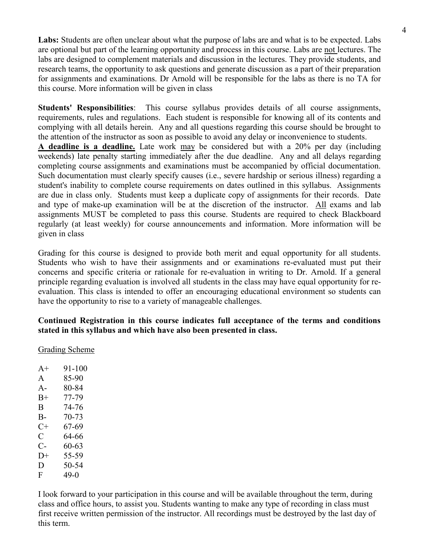**Labs:** Students are often unclear about what the purpose of labs are and what is to be expected. Labs are optional but part of the learning opportunity and process in this course. Labs are not lectures. The labs are designed to complement materials and discussion in the lectures. They provide students, and research teams, the opportunity to ask questions and generate discussion as a part of their preparation for assignments and examinations. Dr Arnold will be responsible for the labs as there is no TA for this course. More information will be given in class

**Students' Responsibilities**: This course syllabus provides details of all course assignments, requirements, rules and regulations. Each student is responsible for knowing all of its contents and complying with all details herein. Any and all questions regarding this course should be brought to the attention of the instructor as soon as possible to avoid any delay or inconvenience to students.

**A deadline is a deadline.** Late work may be considered but with a 20% per day (including weekends) late penalty starting immediately after the due deadline. Any and all delays regarding completing course assignments and examinations must be accompanied by official documentation. Such documentation must clearly specify causes (i.e., severe hardship or serious illness) regarding a student's inability to complete course requirements on dates outlined in this syllabus. Assignments are due in class only. Students must keep a duplicate copy of assignments for their records. Date and type of make-up examination will be at the discretion of the instructor. All exams and lab assignments MUST be completed to pass this course. Students are required to check Blackboard regularly (at least weekly) for course announcements and information. More information will be given in class

Grading for this course is designed to provide both merit and equal opportunity for all students. Students who wish to have their assignments and or examinations re-evaluated must put their concerns and specific criteria or rationale for re-evaluation in writing to Dr. Arnold. If a general principle regarding evaluation is involved all students in the class may have equal opportunity for reevaluation. This class is intended to offer an encouraging educational environment so students can have the opportunity to rise to a variety of manageable challenges.

# **Continued Registration in this course indicates full acceptance of the terms and conditions stated in this syllabus and which have also been presented in class.**

## Grading Scheme

| $A+$  | 91-100    |
|-------|-----------|
| A     | 85-90     |
| $A -$ | 80-84     |
| $B+$  | 77-79     |
| B     | 74-76     |
| B-    | 70-73     |
| C+    | 67-69     |
| C     | 64-66     |
| $C-$  | $60 - 63$ |
| $D+$  | 55-59     |
| D     | 50-54     |
| F     | 49-0      |

I look forward to your participation in this course and will be available throughout the term, during class and office hours, to assist you. Students wanting to make any type of recording in class must first receive written permission of the instructor. All recordings must be destroyed by the last day of this term.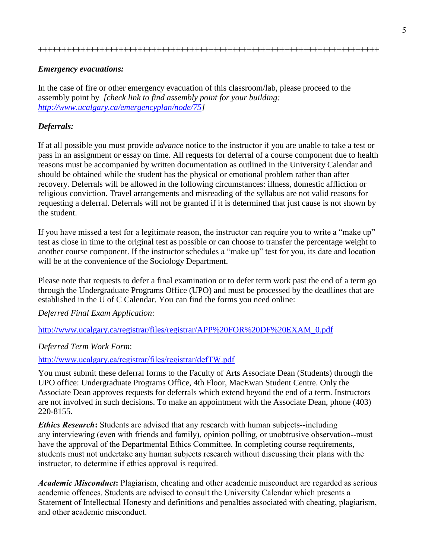# *Emergency evacuations:*

In the case of fire or other emergency evacuation of this classroom/lab, please proceed to the assembly point by *[check link to find assembly point for your building: [http://www.ucalgary.ca/emergencyplan/node/75\]](http://www.ucalgary.ca/emergencyplan/node/75)*

# *Deferrals:*

If at all possible you must provide *advance* notice to the instructor if you are unable to take a test or pass in an assignment or essay on time. All requests for deferral of a course component due to health reasons must be accompanied by written documentation as outlined in the University Calendar and should be obtained while the student has the physical or emotional problem rather than after recovery. Deferrals will be allowed in the following circumstances: illness, domestic affliction or religious conviction. Travel arrangements and misreading of the syllabus are not valid reasons for requesting a deferral. Deferrals will not be granted if it is determined that just cause is not shown by the student.

If you have missed a test for a legitimate reason, the instructor can require you to write a "make up" test as close in time to the original test as possible or can choose to transfer the percentage weight to another course component. If the instructor schedules a "make up" test for you, its date and location will be at the convenience of the Sociology Department.

Please note that requests to defer a final examination or to defer term work past the end of a term go through the Undergraduate Programs Office (UPO) and must be processed by the deadlines that are established in the U of C Calendar. You can find the forms you need online:

*Deferred Final Exam Application*:

[http://www.ucalgary.ca/registrar/files/registrar/APP%20FOR%20DF%20EXAM\\_0.pdf](http://www.ucalgary.ca/registrar/files/registrar/APP%20FOR%20DF%20EXAM_0.pdf)

## *Deferred Term Work Form*:

<http://www.ucalgary.ca/registrar/files/registrar/defTW.pdf>

You must submit these deferral forms to the Faculty of Arts Associate Dean (Students) through the UPO office: Undergraduate Programs Office, 4th Floor, MacEwan Student Centre. Only the Associate Dean approves requests for deferrals which extend beyond the end of a term. Instructors are not involved in such decisions. To make an appointment with the Associate Dean, phone (403) 220-8155.

*Ethics Research***:** Students are advised that any research with human subjects--including any interviewing (even with friends and family), opinion polling, or unobtrusive observation--must have the approval of the Departmental Ethics Committee. In completing course requirements, students must not undertake any human subjects research without discussing their plans with the instructor, to determine if ethics approval is required.

*Academic Misconduct***:** Plagiarism, cheating and other academic misconduct are regarded as serious academic offences. Students are advised to consult the University Calendar which presents a Statement of Intellectual Honesty and definitions and penalties associated with cheating, plagiarism, and other academic misconduct.